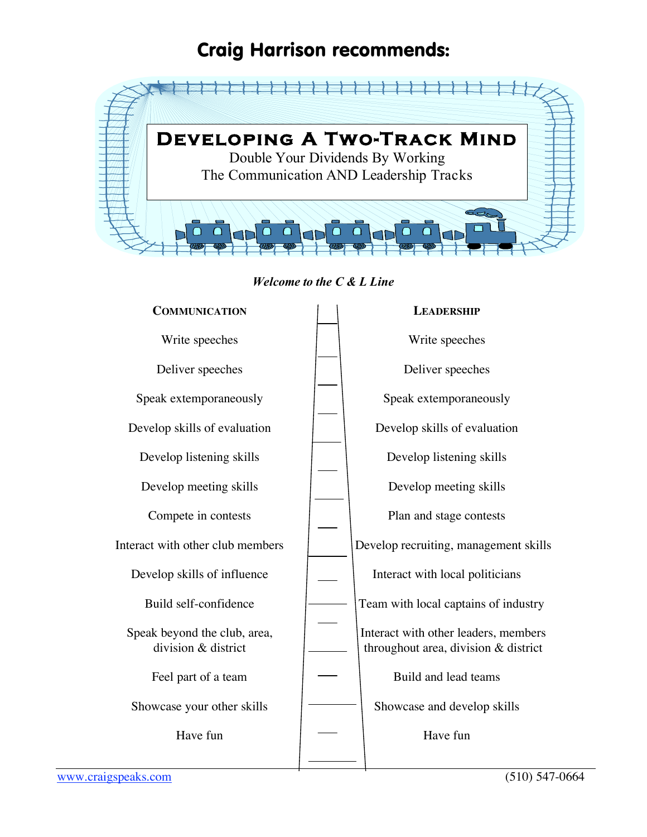## Craig Harrison recommends:



*Welcome to the C & L Line*

| <b>COMMUNICATION</b>                                | <b>LEADERSHIP</b>                                                            |
|-----------------------------------------------------|------------------------------------------------------------------------------|
| Write speeches                                      | Write speeches                                                               |
| Deliver speeches                                    | Deliver speeches                                                             |
| Speak extemporaneously                              | Speak extemporaneously                                                       |
| Develop skills of evaluation                        | Develop skills of evaluation                                                 |
| Develop listening skills                            | Develop listening skills                                                     |
| Develop meeting skills                              | Develop meeting skills                                                       |
| Compete in contests                                 | Plan and stage contests                                                      |
| Interact with other club members                    | Develop recruiting, management skills                                        |
| Develop skills of influence                         | Interact with local politicians                                              |
| Build self-confidence                               | Team with local captains of industry                                         |
| Speak beyond the club, area,<br>division & district | Interact with other leaders, members<br>throughout area, division & district |
| Feel part of a team                                 | Build and lead teams                                                         |
| Showcase your other skills                          | Showcase and develop skills                                                  |
| Have fun                                            | Have fun                                                                     |
|                                                     |                                                                              |